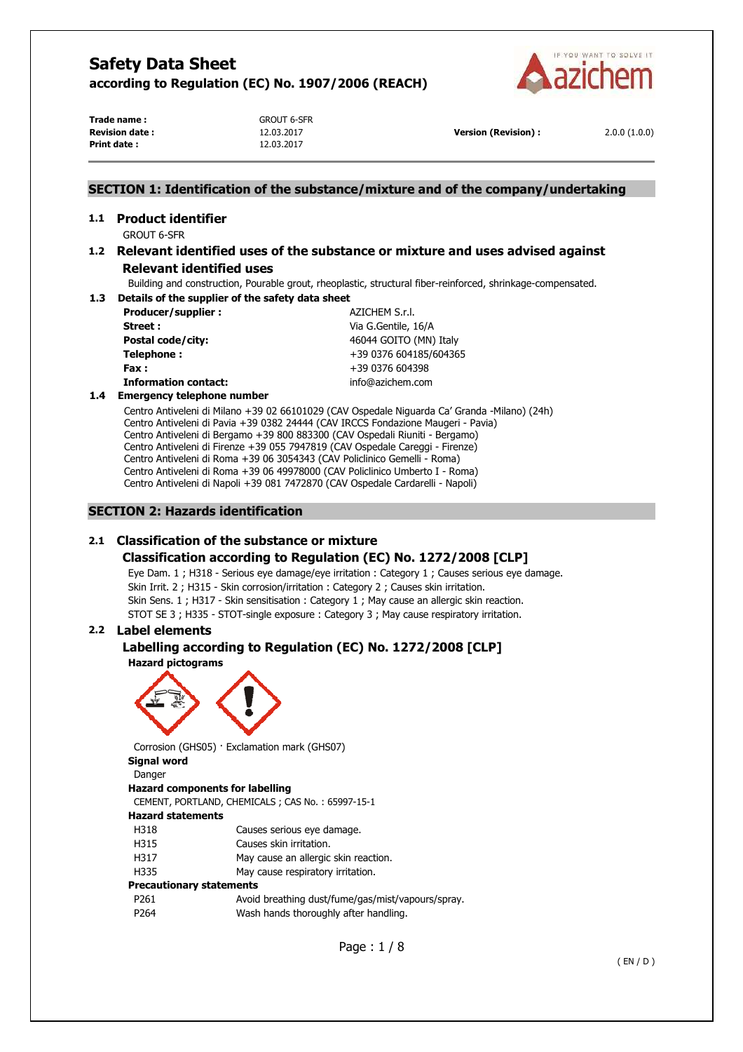

**Trade name :** GROUT 6-SFR **Revision date :** 12.03.2017 **Version (Revision) :** 2.0.0 (1.0.0) **Print date :** 12.03.2017

## **SECTION 1: Identification of the substance/mixture and of the company/undertaking**

# **1.1 Product identifier**

GROUT 6-SFR

## **1.2 Relevant identified uses of the substance or mixture and uses advised against Relevant identified uses**

Building and construction, Pourable grout, rheoplastic, structural fiber-reinforced, shrinkage-compensated.

**1.3 Details of the supplier of the safety data sheet Producer/supplier :**  $AZICHEM S.r.l.$ **Street :** Via G.Gentile, 16/A

**Postal code/city:**  $46044 \text{ GOITO (MN) Italy}$ **Telephone :**  $+39\,0376\,604185/604365$ **Fax :** +39 0376 604398 **Information contact:** info@azichem.com

## **1.4 Emergency telephone number**

Centro Antiveleni di Milano +39 02 66101029 (CAV Ospedale Niguarda Ca' Granda -Milano) (24h) Centro Antiveleni di Pavia +39 0382 24444 (CAV IRCCS Fondazione Maugeri - Pavia) Centro Antiveleni di Bergamo +39 800 883300 (CAV Ospedali Riuniti - Bergamo) Centro Antiveleni di Firenze +39 055 7947819 (CAV Ospedale Careggi - Firenze) Centro Antiveleni di Roma +39 06 3054343 (CAV Policlinico Gemelli - Roma) Centro Antiveleni di Roma +39 06 49978000 (CAV Policlinico Umberto I - Roma) Centro Antiveleni di Napoli +39 081 7472870 (CAV Ospedale Cardarelli - Napoli)

## **SECTION 2: Hazards identification**

## **2.1 Classification of the substance or mixture**

## **Classification according to Regulation (EC) No. 1272/2008 [CLP]**

Eye Dam. 1 ; H318 - Serious eye damage/eye irritation : Category 1 ; Causes serious eye damage. Skin Irrit. 2 ; H315 - Skin corrosion/irritation : Category 2 ; Causes skin irritation. Skin Sens. 1 ; H317 - Skin sensitisation : Category 1 ; May cause an allergic skin reaction. STOT SE 3 ; H335 - STOT-single exposure : Category 3 ; May cause respiratory irritation.

## **2.2 Label elements**

#### **Labelling according to Regulation (EC) No. 1272/2008 [CLP] Hazard pictograms**



Corrosion (GHS05) · Exclamation mark (GHS07)

## **Signal word**

Danger **Hazard components for labelling**  CEMENT, PORTLAND, CHEMICALS ; CAS No. : 65997-15-1 **Hazard statements**  H318 Causes serious eye damage. H315 Causes skin irritation. H317 May cause an allergic skin reaction. H335 May cause respiratory irritation. **Precautionary statements**  P261 Avoid breathing dust/fume/gas/mist/vapours/spray. P264 Wash hands thoroughly after handling.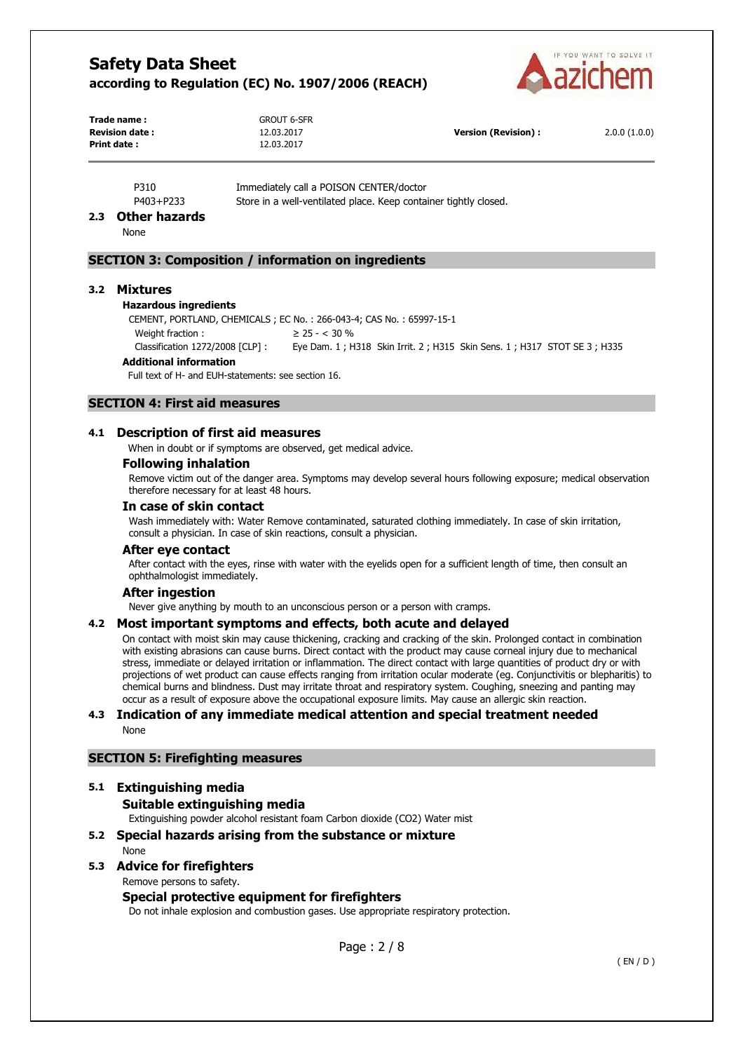

**Trade name :** GROUT 6-SFR **Revision date :** 12.03.2017 **Version (Revision) :** 2.0.0 (1.0.0) **Print date :** 12.03.2017

P310 Immediately call a POISON CENTER/doctor

P403+P233 Store in a well-ventilated place. Keep container tightly closed.

#### **2.3 Other hazards**

None

## **SECTION 3: Composition / information on ingredients**

#### **3.2 Mixtures**

#### **Hazardous ingredients**

CEMENT, PORTLAND, CHEMICALS ; EC No. : 266-043-4; CAS No. : 65997-15-1 Weight fraction :  $\geq 25 -  $30\%$$ Classification 1272/2008 [CLP] : Eye Dam. 1 ; H318 Skin Irrit. 2 ; H315 Skin Sens. 1 ; H317 STOT SE 3 ; H335

#### **Additional information**

Full text of H- and EUH-statements: see section 16.

## **SECTION 4: First aid measures**

#### **4.1 Description of first aid measures**

When in doubt or if symptoms are observed, get medical advice.

#### **Following inhalation**

Remove victim out of the danger area. Symptoms may develop several hours following exposure; medical observation therefore necessary for at least 48 hours.

#### **In case of skin contact**

Wash immediately with: Water Remove contaminated, saturated clothing immediately. In case of skin irritation, consult a physician. In case of skin reactions, consult a physician.

#### **After eye contact**

After contact with the eyes, rinse with water with the eyelids open for a sufficient length of time, then consult an ophthalmologist immediately.

#### **After ingestion**

Never give anything by mouth to an unconscious person or a person with cramps.

#### **4.2 Most important symptoms and effects, both acute and delayed**

On contact with moist skin may cause thickening, cracking and cracking of the skin. Prolonged contact in combination with existing abrasions can cause burns. Direct contact with the product may cause corneal injury due to mechanical stress, immediate or delayed irritation or inflammation. The direct contact with large quantities of product dry or with projections of wet product can cause effects ranging from irritation ocular moderate (eg. Conjunctivitis or blepharitis) to chemical burns and blindness. Dust may irritate throat and respiratory system. Coughing, sneezing and panting may occur as a result of exposure above the occupational exposure limits. May cause an allergic skin reaction.

#### **4.3 Indication of any immediate medical attention and special treatment needed**  None

#### **SECTION 5: Firefighting measures**

# **5.1 Extinguishing media**

## **Suitable extinguishing media**

Extinguishing powder alcohol resistant foam Carbon dioxide (CO2) Water mist

## **5.2 Special hazards arising from the substance or mixture**  None

## **5.3 Advice for firefighters**

Remove persons to safety.

## **Special protective equipment for firefighters**

Do not inhale explosion and combustion gases. Use appropriate respiratory protection.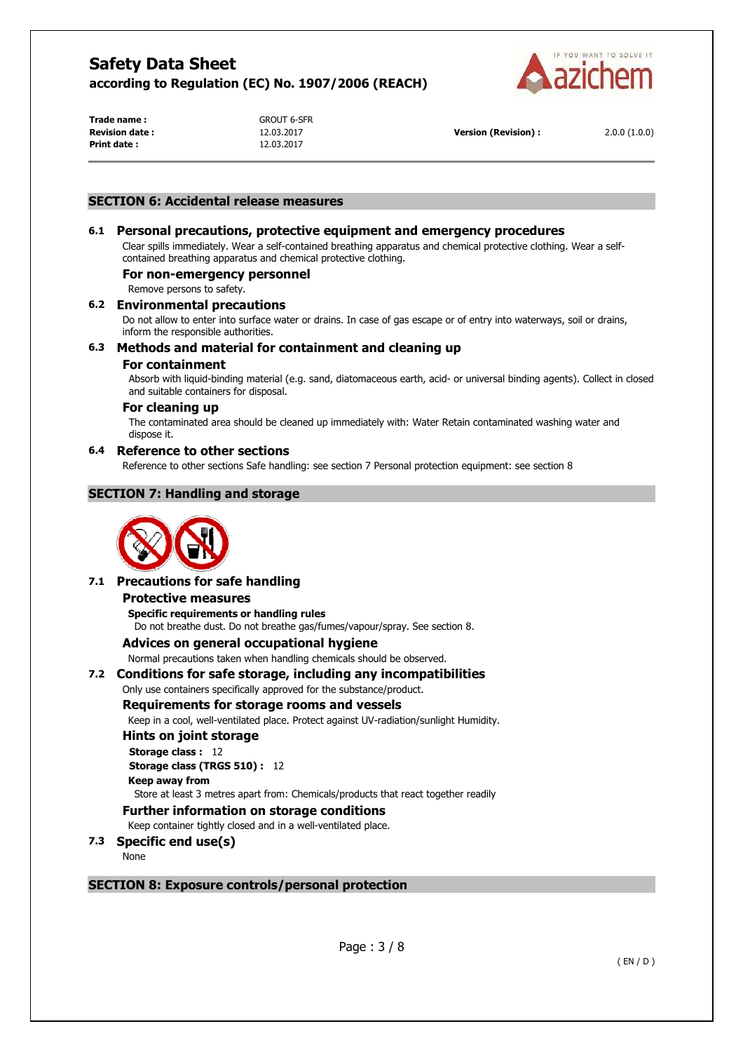

**Trade name :** GROUT 6-SFR **Print date :** 12.03.2017

**Revision date :** 12.03.2017 **Version (Revision) :** 2.0.0 (1.0.0)

## **SECTION 6: Accidental release measures**

## **6.1 Personal precautions, protective equipment and emergency procedures**

Clear spills immediately. Wear a self-contained breathing apparatus and chemical protective clothing. Wear a selfcontained breathing apparatus and chemical protective clothing.

#### **For non-emergency personnel**

Remove persons to safety.

#### **6.2 Environmental precautions**

Do not allow to enter into surface water or drains. In case of gas escape or of entry into waterways, soil or drains, inform the responsible authorities.

## **6.3 Methods and material for containment and cleaning up**

#### **For containment**

Absorb with liquid-binding material (e.g. sand, diatomaceous earth, acid- or universal binding agents). Collect in closed and suitable containers for disposal.

#### **For cleaning up**

The contaminated area should be cleaned up immediately with: Water Retain contaminated washing water and dispose it.

#### **6.4 Reference to other sections**

Reference to other sections Safe handling: see section 7 Personal protection equipment: see section 8

## **SECTION 7: Handling and storage**



## **7.1 Precautions for safe handling**

#### **Protective measures**

**Specific requirements or handling rules**  Do not breathe dust. Do not breathe gas/fumes/vapour/spray. See section 8.

#### **Advices on general occupational hygiene**

Normal precautions taken when handling chemicals should be observed.

## **7.2 Conditions for safe storage, including any incompatibilities**

Only use containers specifically approved for the substance/product.

## **Requirements for storage rooms and vessels**

Keep in a cool, well-ventilated place. Protect against UV-radiation/sunlight Humidity.

#### **Hints on joint storage**

**Storage class :** 12 **Storage class (TRGS 510) :** 12 **Keep away from** 

Store at least 3 metres apart from: Chemicals/products that react together readily

## **Further information on storage conditions**

Keep container tightly closed and in a well-ventilated place.

## **7.3 Specific end use(s)**

None

## **SECTION 8: Exposure controls/personal protection**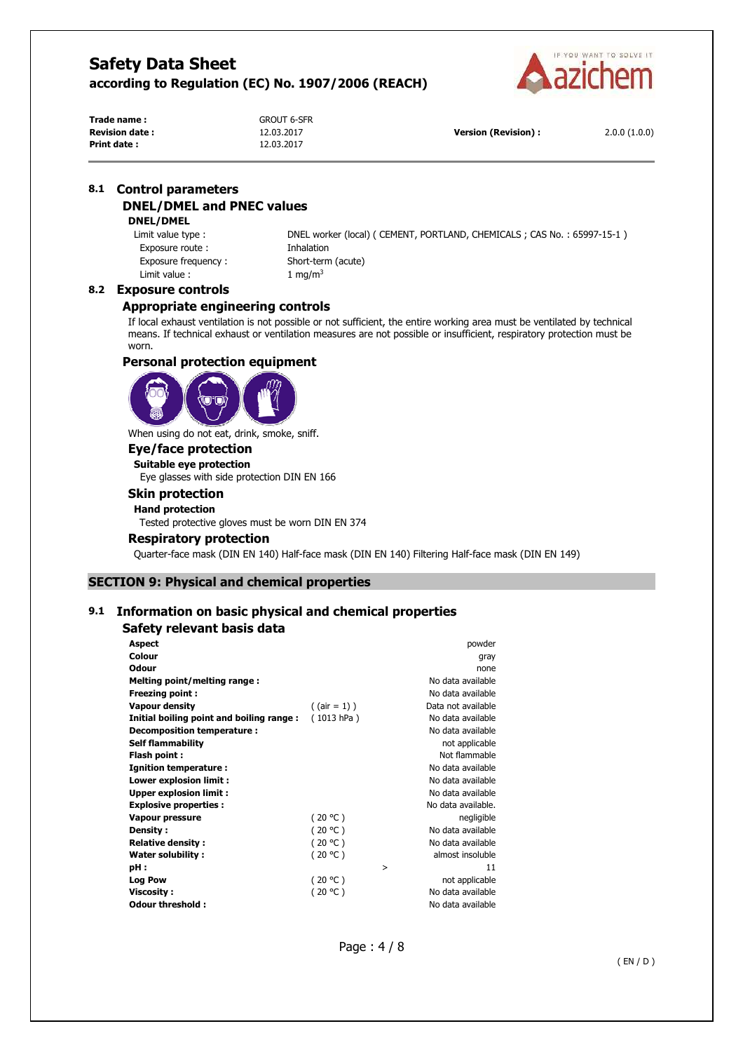

**Trade name :** GROUT 6-SFR **Revision date :** 12.03.2017 **Version (Revision) :** 2.0.0 (1.0.0) **Print date :** 12.03.2017

## **8.1 Control parameters DNEL/DMEL and PNEC values**

#### **DNEL/DMEL**

Exposure route : Thalation Exposure frequency : Short-term (acute) Limit value :  $1 \text{ mg/m}^3$ 

Limit value type : DNEL worker (local) ( CEMENT, PORTLAND, CHEMICALS ; CAS No. : 65997-15-1 )

## **8.2 Exposure controls**

#### **Appropriate engineering controls**

If local exhaust ventilation is not possible or not sufficient, the entire working area must be ventilated by technical means. If technical exhaust or ventilation measures are not possible or insufficient, respiratory protection must be worn.

## **Personal protection equipment**



When using do not eat, drink, smoke, sniff.

## **Eye/face protection**

**Suitable eye protection** 

Eye glasses with side protection DIN EN 166

## **Skin protection**

**Hand protection** 

Tested protective gloves must be worn DIN EN 374

#### **Respiratory protection**

Quarter-face mask (DIN EN 140) Half-face mask (DIN EN 140) Filtering Half-face mask (DIN EN 149)

## **SECTION 9: Physical and chemical properties**

## **9.1 Information on basic physical and chemical properties**

#### **Safety relevant basis data**

| <b>Aspect</b>                            |                 |   | powder             |
|------------------------------------------|-----------------|---|--------------------|
| Colour                                   |                 |   | gray               |
| <b>Odour</b>                             |                 |   | none               |
| Melting point/melting range:             |                 |   | No data available  |
| <b>Freezing point:</b>                   |                 |   | No data available  |
| <b>Vapour density</b>                    | $($ (air = 1) ) |   | Data not available |
| Initial boiling point and boiling range: | (1013 hPa)      |   | No data available  |
| Decomposition temperature:               |                 |   | No data available  |
| <b>Self flammability</b>                 |                 |   | not applicable     |
| Flash point :                            |                 |   | Not flammable      |
| <b>Ignition temperature:</b>             |                 |   | No data available  |
| Lower explosion limit :                  |                 |   | No data available  |
| <b>Upper explosion limit:</b>            |                 |   | No data available  |
| <b>Explosive properties:</b>             |                 |   | No data available. |
| <b>Vapour pressure</b>                   | (20 °C)         |   | negligible         |
| Density:                                 | (20 °C)         |   | No data available  |
| <b>Relative density:</b>                 | (20 °C)         |   | No data available  |
| <b>Water solubility:</b>                 | (20 °C)         |   | almost insoluble   |
| pH:                                      |                 | > | 11                 |
| Log Pow                                  | (20 °C)         |   | not applicable     |
| <b>Viscosity:</b>                        | (20 °C)         |   | No data available  |
| Odour threshold:                         |                 |   | No data available  |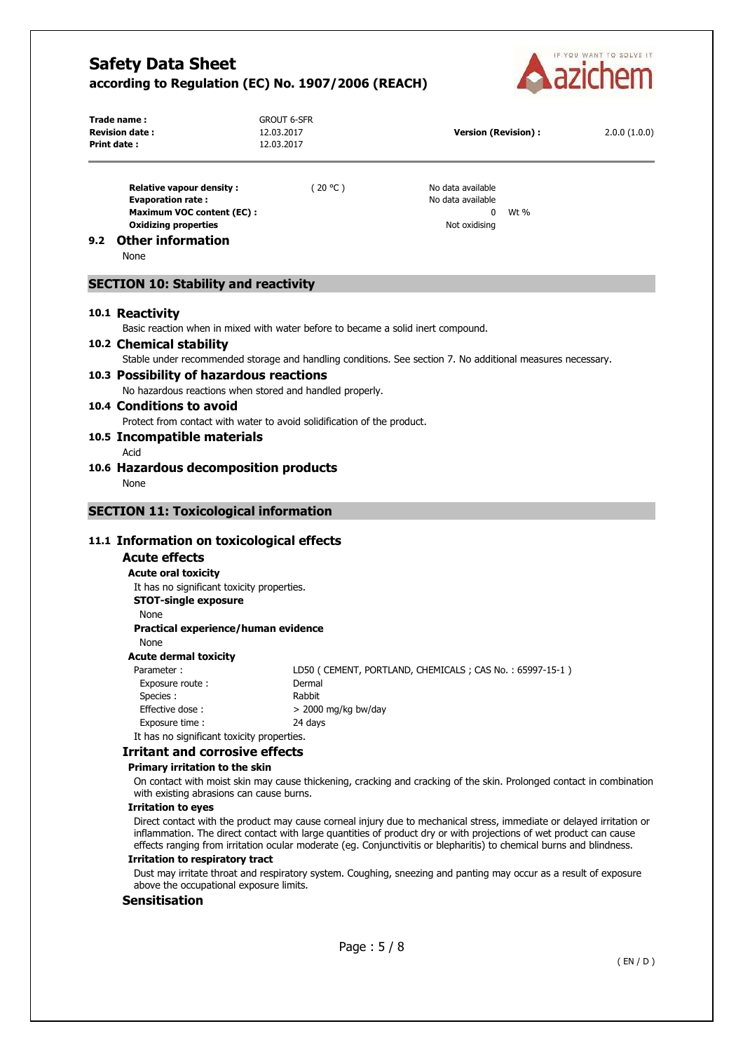

|     | Trade name:<br><b>Revision date:</b><br><b>Print date:</b>                                                                            | <b>GROUT 6-SFR</b><br>12.03.2017<br>12.03.2017                                                                                                                                                                                             | <b>Version (Revision):</b>                                   | 2.0.0(1.0.0)                                                                                                          |
|-----|---------------------------------------------------------------------------------------------------------------------------------------|--------------------------------------------------------------------------------------------------------------------------------------------------------------------------------------------------------------------------------------------|--------------------------------------------------------------|-----------------------------------------------------------------------------------------------------------------------|
|     | <b>Relative vapour density:</b><br><b>Evaporation rate:</b><br><b>Maximum VOC content (EC):</b><br><b>Oxidizing properties</b>        | (20 °C)                                                                                                                                                                                                                                    | No data available<br>No data available<br>0<br>Not oxidising | Wt %                                                                                                                  |
| 9.2 | <b>Other information</b><br>None                                                                                                      |                                                                                                                                                                                                                                            |                                                              |                                                                                                                       |
|     | <b>SECTION 10: Stability and reactivity</b>                                                                                           |                                                                                                                                                                                                                                            |                                                              |                                                                                                                       |
|     | 10.1 Reactivity<br>Basic reaction when in mixed with water before to became a solid inert compound.                                   |                                                                                                                                                                                                                                            |                                                              |                                                                                                                       |
|     | 10.2 Chemical stability<br>Stable under recommended storage and handling conditions. See section 7. No additional measures necessary. |                                                                                                                                                                                                                                            |                                                              |                                                                                                                       |
|     | 10.3 Possibility of hazardous reactions                                                                                               |                                                                                                                                                                                                                                            |                                                              |                                                                                                                       |
|     | No hazardous reactions when stored and handled properly.                                                                              |                                                                                                                                                                                                                                            |                                                              |                                                                                                                       |
|     | 10.4 Conditions to avoid                                                                                                              |                                                                                                                                                                                                                                            |                                                              |                                                                                                                       |
|     | Protect from contact with water to avoid solidification of the product.                                                               |                                                                                                                                                                                                                                            |                                                              |                                                                                                                       |
|     | 10.5 Incompatible materials<br>Acid                                                                                                   |                                                                                                                                                                                                                                            |                                                              |                                                                                                                       |
|     | 10.6 Hazardous decomposition products<br>None                                                                                         |                                                                                                                                                                                                                                            |                                                              |                                                                                                                       |
|     | <b>SECTION 11: Toxicological information</b>                                                                                          |                                                                                                                                                                                                                                            |                                                              |                                                                                                                       |
|     |                                                                                                                                       |                                                                                                                                                                                                                                            |                                                              |                                                                                                                       |
|     | 11.1 Information on toxicological effects                                                                                             |                                                                                                                                                                                                                                            |                                                              |                                                                                                                       |
|     | <b>Acute effects</b>                                                                                                                  |                                                                                                                                                                                                                                            |                                                              |                                                                                                                       |
|     | <b>Acute oral toxicity</b>                                                                                                            |                                                                                                                                                                                                                                            |                                                              |                                                                                                                       |
|     | It has no significant toxicity properties.                                                                                            |                                                                                                                                                                                                                                            |                                                              |                                                                                                                       |
|     | <b>STOT-single exposure</b><br>None                                                                                                   |                                                                                                                                                                                                                                            |                                                              |                                                                                                                       |
|     | Practical experience/human evidence                                                                                                   |                                                                                                                                                                                                                                            |                                                              |                                                                                                                       |
|     | None                                                                                                                                  |                                                                                                                                                                                                                                            |                                                              |                                                                                                                       |
|     | <b>Acute dermal toxicity</b>                                                                                                          |                                                                                                                                                                                                                                            |                                                              |                                                                                                                       |
|     | Parameter:                                                                                                                            |                                                                                                                                                                                                                                            | LD50 (CEMENT, PORTLAND, CHEMICALS; CAS No.: 65997-15-1)      |                                                                                                                       |
|     | Exposure route:                                                                                                                       | Dermal                                                                                                                                                                                                                                     |                                                              |                                                                                                                       |
|     | Species :                                                                                                                             | Rabbit                                                                                                                                                                                                                                     |                                                              |                                                                                                                       |
|     | Effective dose:                                                                                                                       | $>$ 2000 mg/kg bw/day                                                                                                                                                                                                                      |                                                              |                                                                                                                       |
|     | Exposure time:<br>It has no significant toxicity properties.                                                                          | 24 days                                                                                                                                                                                                                                    |                                                              |                                                                                                                       |
|     | <b>Irritant and corrosive effects</b>                                                                                                 |                                                                                                                                                                                                                                            |                                                              |                                                                                                                       |
|     | Primary irritation to the skin                                                                                                        |                                                                                                                                                                                                                                            |                                                              |                                                                                                                       |
|     | with existing abrasions can cause burns.                                                                                              |                                                                                                                                                                                                                                            |                                                              | On contact with moist skin may cause thickening, cracking and cracking of the skin. Prolonged contact in combination  |
|     | <b>Irritation to eyes</b>                                                                                                             |                                                                                                                                                                                                                                            |                                                              |                                                                                                                       |
|     |                                                                                                                                       | inflammation. The direct contact with large quantities of product dry or with projections of wet product can cause<br>effects ranging from irritation ocular moderate (eg. Conjunctivitis or blepharitis) to chemical burns and blindness. |                                                              | Direct contact with the product may cause corneal injury due to mechanical stress, immediate or delayed irritation or |
|     | <b>Irritation to respiratory tract</b>                                                                                                |                                                                                                                                                                                                                                            |                                                              |                                                                                                                       |
|     | above the occupational exposure limits.                                                                                               | Dust may irritate throat and respiratory system. Coughing, sneezing and panting may occur as a result of exposure                                                                                                                          |                                                              |                                                                                                                       |

## **Sensitisation**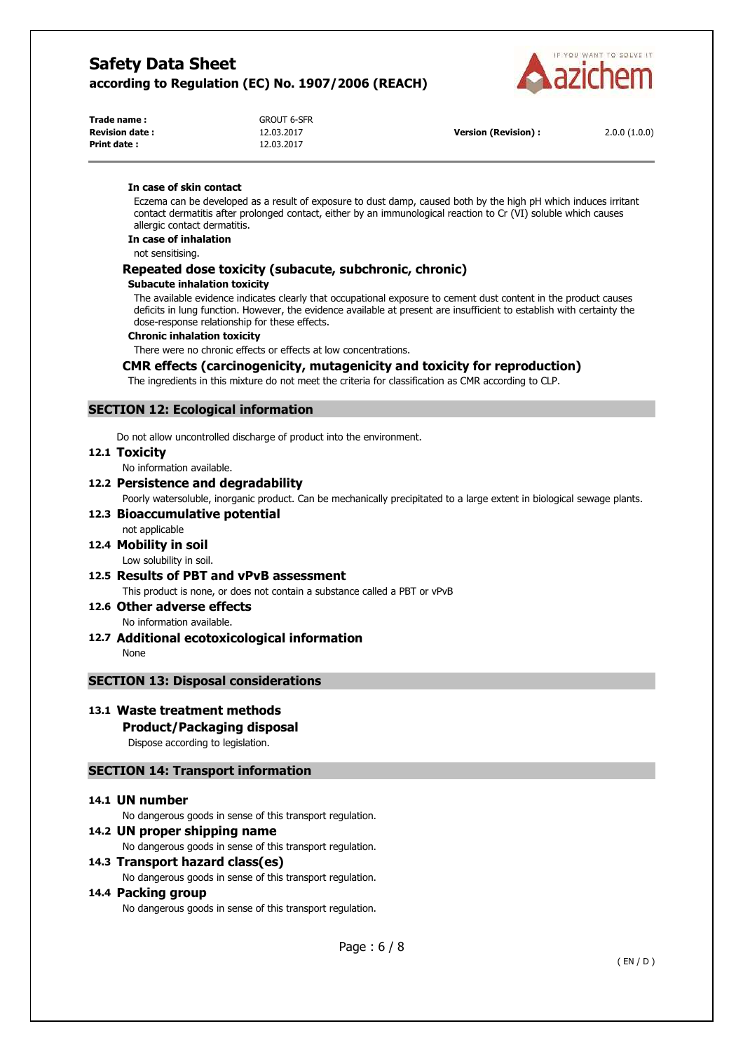

| Trade name :           | GROUT 6-SFR |
|------------------------|-------------|
| <b>Revision date :</b> | 12.03.2017  |
| Print date :           | 12.03.2017  |

**Version (Revision) :** 2.0.0 (1.0.0)

#### **In case of skin contact**

Eczema can be developed as a result of exposure to dust damp, caused both by the high pH which induces irritant contact dermatitis after prolonged contact, either by an immunological reaction to Cr (VI) soluble which causes allergic contact dermatitis.

**In case of inhalation** 

not sensitising.

## **Repeated dose toxicity (subacute, subchronic, chronic)**

#### **Subacute inhalation toxicity**

The available evidence indicates clearly that occupational exposure to cement dust content in the product causes deficits in lung function. However, the evidence available at present are insufficient to establish with certainty the dose-response relationship for these effects.

#### **Chronic inhalation toxicity**

There were no chronic effects or effects at low concentrations.

#### **CMR effects (carcinogenicity, mutagenicity and toxicity for reproduction)**

The ingredients in this mixture do not meet the criteria for classification as CMR according to CLP.

## **SECTION 12: Ecological information**

Do not allow uncontrolled discharge of product into the environment.

#### **12.1 Toxicity**

No information available.

#### **12.2 Persistence and degradability**

Poorly watersoluble, inorganic product. Can be mechanically precipitated to a large extent in biological sewage plants.

#### **12.3 Bioaccumulative potential**  not applicable

**12.4 Mobility in soil** 

Low solubility in soil.

**12.5 Results of PBT and vPvB assessment**  This product is none, or does not contain a substance called a PBT or vPvB

## **12.6 Other adverse effects**

No information available.

## **12.7 Additional ecotoxicological information**

None

## **SECTION 13: Disposal considerations**

## **13.1 Waste treatment methods**

## **Product/Packaging disposal**

Dispose according to legislation.

## **SECTION 14: Transport information**

#### **14.1 UN number**

No dangerous goods in sense of this transport regulation.

## **14.2 UN proper shipping name**

No dangerous goods in sense of this transport regulation.

## **14.3 Transport hazard class(es)**

No dangerous goods in sense of this transport regulation.

#### **14.4 Packing group**

No dangerous goods in sense of this transport regulation.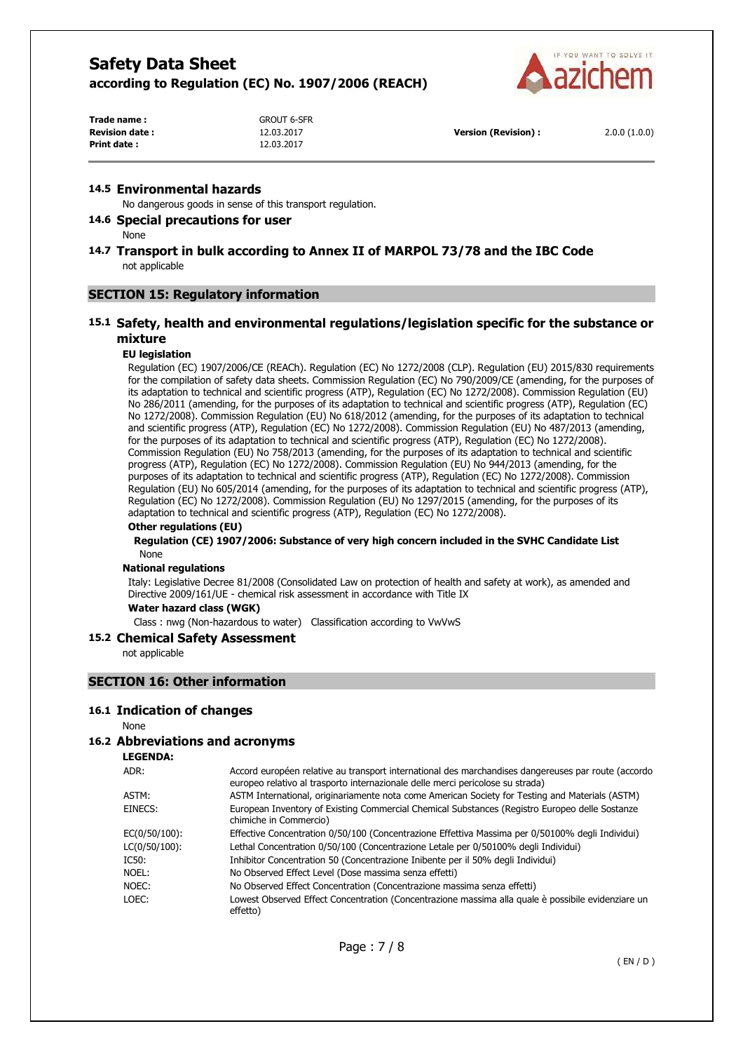**Trade name :** GROUT 6-SFR

**Print date :** 12.03.2017



| Trade name :           |  |
|------------------------|--|
| <b>Revision date :</b> |  |
| Print date :           |  |

**Revision date :** 12.03.2017 **Version (Revision) :** 2.0.0 (1.0.0)

#### **14.5 Environmental hazards**

No dangerous goods in sense of this transport regulation.

## **14.6 Special precautions for user**

None

## **14.7 Transport in bulk according to Annex II of MARPOL 73/78 and the IBC Code**  not applicable

#### **SECTION 15: Regulatory information**

## **15.1 Safety, health and environmental regulations/legislation specific for the substance or mixture**

#### **EU legislation**

Regulation (EC) 1907/2006/CE (REACh). Regulation (EC) No 1272/2008 (CLP). Regulation (EU) 2015/830 requirements for the compilation of safety data sheets. Commission Regulation (EC) No 790/2009/CE (amending, for the purposes of its adaptation to technical and scientific progress (ATP), Regulation (EC) No 1272/2008). Commission Regulation (EU) No 286/2011 (amending, for the purposes of its adaptation to technical and scientific progress (ATP), Regulation (EC) No 1272/2008). Commission Regulation (EU) No 618/2012 (amending, for the purposes of its adaptation to technical and scientific progress (ATP), Regulation (EC) No 1272/2008). Commission Regulation (EU) No 487/2013 (amending, for the purposes of its adaptation to technical and scientific progress (ATP), Regulation (EC) No 1272/2008). Commission Regulation (EU) No 758/2013 (amending, for the purposes of its adaptation to technical and scientific progress (ATP), Regulation (EC) No 1272/2008). Commission Regulation (EU) No 944/2013 (amending, for the purposes of its adaptation to technical and scientific progress (ATP), Regulation (EC) No 1272/2008). Commission Regulation (EU) No 605/2014 (amending, for the purposes of its adaptation to technical and scientific progress (ATP), Regulation (EC) No 1272/2008). Commission Regulation (EU) No 1297/2015 (amending, for the purposes of its adaptation to technical and scientific progress (ATP), Regulation (EC) No 1272/2008).

## **Other regulations (EU)**

#### **Regulation (CE) 1907/2006: Substance of very high concern included in the SVHC Candidate List**  None

#### **National regulations**

Italy: Legislative Decree 81/2008 (Consolidated Law on protection of health and safety at work), as amended and Directive 2009/161/UE - chemical risk assessment in accordance with Title IX

#### **Water hazard class (WGK)**

Class : nwg (Non-hazardous to water) Classification according to VwVwS

#### **15.2 Chemical Safety Assessment**

not applicable

## **SECTION 16: Other information**

#### **16.1 Indication of changes**

None

#### **16.2 Abbreviations and acronyms**

#### **LEGENDA:**

| ADR:          | Accord européen relative au transport international des marchandises dangereuses par route (accordo<br>europeo relativo al trasporto internazionale delle merci pericolose su strada) |
|---------------|---------------------------------------------------------------------------------------------------------------------------------------------------------------------------------------|
| ASTM:         | ASTM International, originariamente nota come American Society for Testing and Materials (ASTM)                                                                                       |
| EINECS:       | European Inventory of Existing Commercial Chemical Substances (Registro Europeo delle Sostanze<br>chimiche in Commercio)                                                              |
| EC(0/50/100): | Effective Concentration 0/50/100 (Concentrazione Effettiva Massima per 0/50100% degli Individui)                                                                                      |
| LC(0/50/100): | Lethal Concentration 0/50/100 (Concentrazione Letale per 0/50100% degli Individui)                                                                                                    |
| IC50:         | Inhibitor Concentration 50 (Concentrazione Inibente per il 50% degli Individui)                                                                                                       |
| Noel:         | No Observed Effect Level (Dose massima senza effetti)                                                                                                                                 |
| NOEC:         | No Observed Effect Concentration (Concentrazione massima senza effetti)                                                                                                               |
| LOEC:         | Lowest Observed Effect Concentration (Concentrazione massima alla quale è possibile evidenziare un<br>effetto)                                                                        |